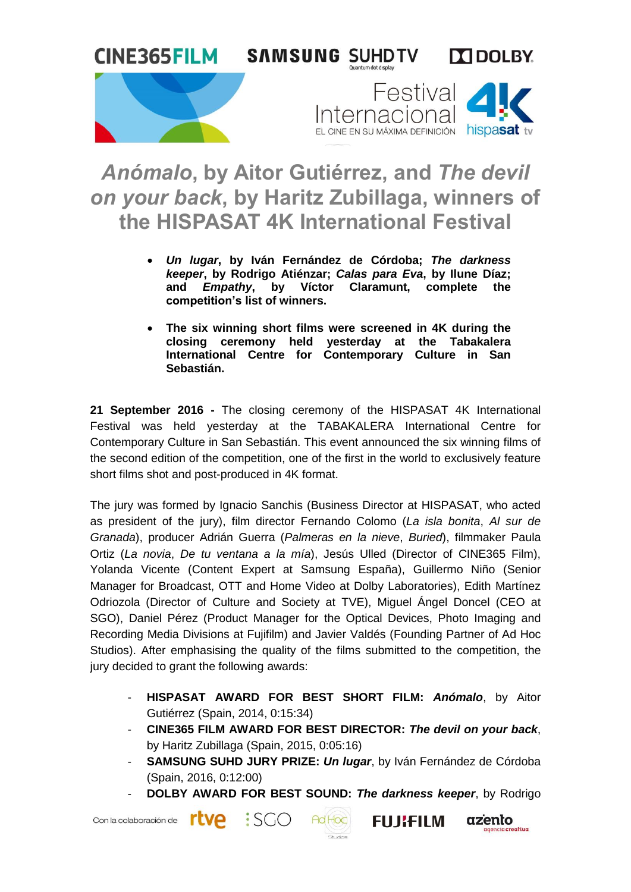

## *Anómalo***, by Aitor Gutiérrez, and** *The devil on your back***, by Haritz Zubillaga, winners of the HISPASAT 4K International Festival**

- *Un lugar***, by Iván Fernández de Córdoba;** *The darkness keeper***, by Rodrigo Atiénzar;** *Calas para Eva***, by Ilune Díaz; and** *Empathy***, by Víctor Claramunt, complete the competition's list of winners.**
- **The six winning short films were screened in 4K during the closing ceremony held yesterday at the Tabakalera International Centre for Contemporary Culture in San Sebastián.**

**21 September 2016 -** The closing ceremony of the HISPASAT 4K International Festival was held yesterday at the TABAKALERA International Centre for Contemporary Culture in San Sebastián. This event announced the six winning films of the second edition of the competition, one of the first in the world to exclusively feature short films shot and post-produced in 4K format.

The jury was formed by Ignacio Sanchis (Business Director at HISPASAT, who acted as president of the jury), film director Fernando Colomo (*La isla bonita*, *Al sur de Granada*), producer Adrián Guerra (*Palmeras en la nieve*, *Buried*), filmmaker Paula Ortiz (*La novia*, *De tu ventana a la mía*), Jesús Ulled (Director of CINE365 Film), Yolanda Vicente (Content Expert at Samsung España), Guillermo Niño (Senior Manager for Broadcast, OTT and Home Video at Dolby Laboratories), Edith Martínez Odriozola (Director of Culture and Society at TVE), Miguel Ángel Doncel (CEO at SGO), Daniel Pérez (Product Manager for the Optical Devices, Photo Imaging and Recording Media Divisions at Fujifilm) and Javier Valdés (Founding Partner of Ad Hoc Studios). After emphasising the quality of the films submitted to the competition, the jury decided to grant the following awards:

- **HISPASAT AWARD FOR BEST SHORT FILM:** *Anómalo*, by Aitor Gutiérrez (Spain, 2014, 0:15:34)
- **CINE365 FILM AWARD FOR BEST DIRECTOR:** *The devil on your back*, by Haritz Zubillaga (Spain, 2015, 0:05:16)
- **SAMSUNG SUHD JURY PRIZE:** *Un lugar*, by Iván Fernández de Córdoba (Spain, 2016, 0:12:00)
- **DOLBY AWARD FOR BEST SOUND:** *The darkness keeper*, by Rodrigo

Studes

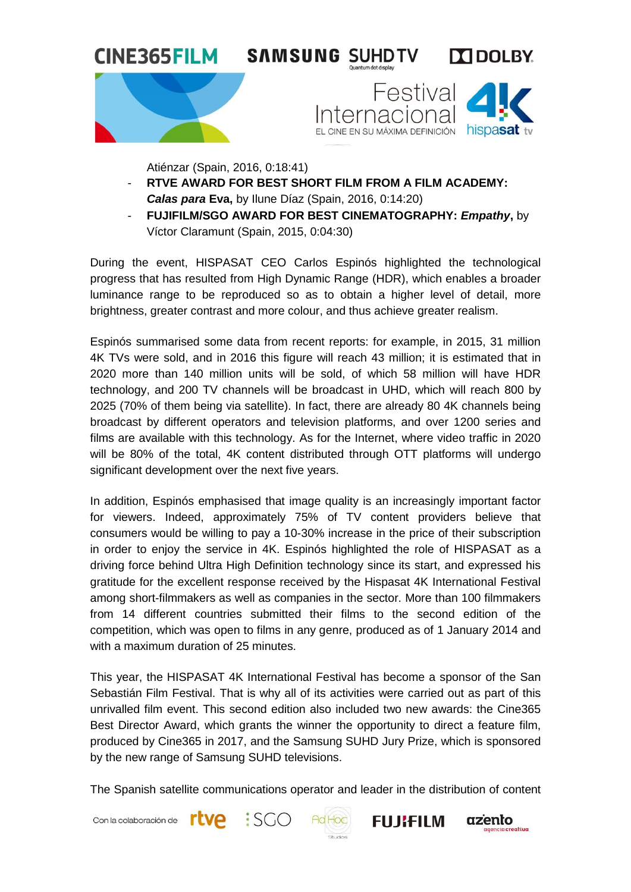





Atiénzar (Spain, 2016, 0:18:41)

- **RTVE AWARD FOR BEST SHORT FILM FROM A FILM ACADEMY:** *Calas para* **Eva,** by Ilune Díaz (Spain, 2016, 0:14:20)
- **FUJIFILM/SGO AWARD FOR BEST CINEMATOGRAPHY:** *Empathy***,** by Víctor Claramunt (Spain, 2015, 0:04:30)

During the event, HISPASAT CEO Carlos Espinós highlighted the technological progress that has resulted from High Dynamic Range (HDR), which enables a broader luminance range to be reproduced so as to obtain a higher level of detail, more brightness, greater contrast and more colour, and thus achieve greater realism.

Espinós summarised some data from recent reports: for example, in 2015, 31 million 4K TVs were sold, and in 2016 this figure will reach 43 million; it is estimated that in 2020 more than 140 million units will be sold, of which 58 million will have HDR technology, and 200 TV channels will be broadcast in UHD, which will reach 800 by 2025 (70% of them being via satellite). In fact, there are already 80 4K channels being broadcast by different operators and television platforms, and over 1200 series and films are available with this technology. As for the Internet, where video traffic in 2020 will be 80% of the total, 4K content distributed through OTT platforms will undergo significant development over the next five years.

In addition, Espinós emphasised that image quality is an increasingly important factor for viewers. Indeed, approximately 75% of TV content providers believe that consumers would be willing to pay a 10-30% increase in the price of their subscription in order to enjoy the service in 4K. Espinós highlighted the role of HISPASAT as a driving force behind Ultra High Definition technology since its start, and expressed his gratitude for the excellent response received by the Hispasat 4K International Festival among short-filmmakers as well as companies in the sector. More than 100 filmmakers from 14 different countries submitted their films to the second edition of the competition, which was open to films in any genre, produced as of 1 January 2014 and with a maximum duration of 25 minutes.

This year, the HISPASAT 4K International Festival has become a sponsor of the San Sebastián Film Festival. That is why all of its activities were carried out as part of this unrivalled film event. This second edition also included two new awards: the Cine365 Best Director Award, which grants the winner the opportunity to direct a feature film, produced by Cine365 in 2017, and the Samsung SUHD Jury Prize, which is sponsored by the new range of Samsung SUHD televisions.

The Spanish satellite communications operator and leader in the distribution of content

Con la colaboración de **FLVA** 





**FUJIFILM** 

azento

creativa